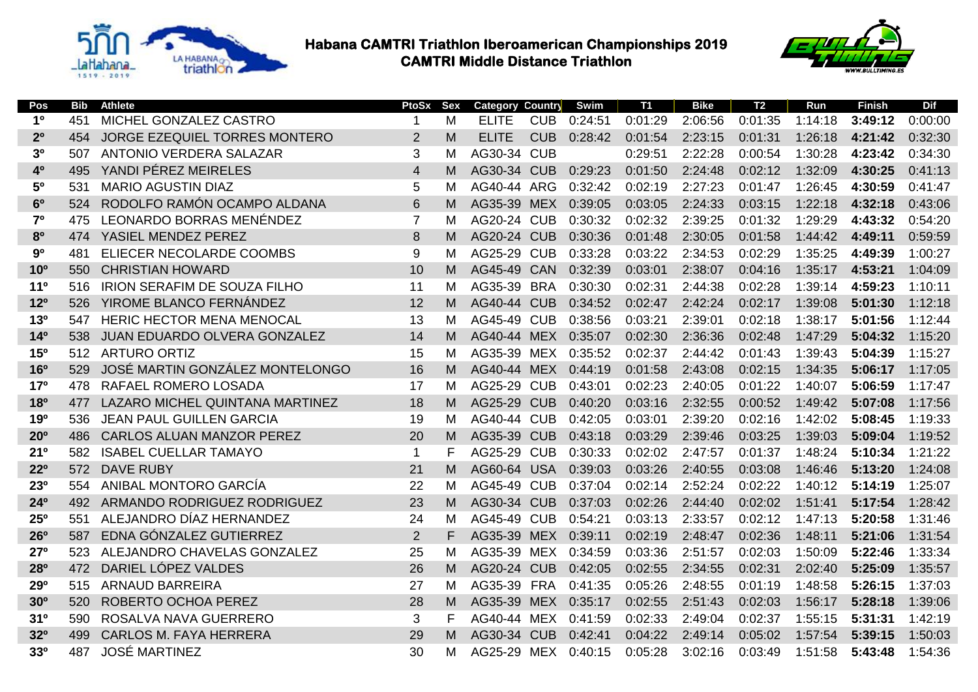



| Pos                   | <b>Bib</b> | <b>Athlete</b>                       | PtoSx          | <b>Sex</b> | <b>Category Country</b> |            | Swim    | <b>T1</b> | <b>Bike</b> | T <sub>2</sub> | Run     | <b>Finish</b> | <b>Dif</b> |
|-----------------------|------------|--------------------------------------|----------------|------------|-------------------------|------------|---------|-----------|-------------|----------------|---------|---------------|------------|
| 1 <sup>0</sup>        | 451        | MICHEL GONZALEZ CASTRO               | $\mathbf 1$    | м          | <b>ELITE</b>            | <b>CUB</b> | 0:24:51 | 0:01:29   | 2:06:56     | 0:01:35        | 1:14:18 | 3:49:12       | 0:00:00    |
| 2 <sup>0</sup>        | 454        | <b>JORGE EZEQUIEL TORRES MONTERO</b> | $\overline{2}$ | M          | <b>ELITE</b>            | <b>CUB</b> | 0:28:42 | 0:01:54   | 2:23:15     | 0:01:31        | 1:26:18 | 4:21:42       | 0:32:30    |
| 3 <sup>0</sup>        | 507        | <b>ANTONIO VERDERA SALAZAR</b>       | 3              | M          | AG30-34                 | <b>CUB</b> |         | 0:29:51   | 2:22:28     | 0:00:54        | 1:30:28 | 4:23:42       | 0:34:30    |
| 40                    | 495        | YANDI PÉREZ MEIRELES                 | $\overline{4}$ | м          | AG30-34                 | <b>CUB</b> | 0:29:23 | 0:01:50   | 2:24:48     | 0:02:12        | 1:32:09 | 4:30:25       | 0:41:13    |
| 50                    | 531        | <b>MARIO AGUSTIN DIAZ</b>            | 5              | M          | AG40-44                 | <b>ARG</b> | 0:32:42 | 0:02:19   | 2:27:23     | 0:01:47        | 1:26:45 | 4:30:59       | 0:41:47    |
| 6 <sup>0</sup>        | 524        | RODOLFO RAMÓN OCAMPO ALDANA          | 6              | M          | AG35-39                 | <b>MEX</b> | 0:39:05 | 0:03:05   | 2:24:33     | 0:03:15        | 1:22:18 | 4:32:18       | 0:43:06    |
| 7 <sup>0</sup>        | 475        | LEONARDO BORRAS MENÉNDEZ             | $\overline{7}$ | м          | AG20-24                 | <b>CUB</b> | 0:30:32 | 0:02:32   | 2:39:25     | 0:01:32        | 1:29:29 | 4:43:32       | 0:54:20    |
| 8 <sup>0</sup>        | 474        | YASIEL MENDEZ PEREZ                  | 8              | M          | AG20-24                 | <b>CUB</b> | 0:30:36 | 0:01:48   | 2:30:05     | 0:01:58        | 1:44:42 | 4:49:11       | 0:59:59    |
| 90                    | 481        | ELIECER NECOLARDE COOMBS             | 9              | м          | AG25-29                 | <b>CUB</b> | 0:33:28 | 0:03:22   | 2:34:53     | 0:02:29        | 1:35:25 | 4:49:39       | 1:00:27    |
| 10 <sup>o</sup>       | 550        | <b>CHRISTIAN HOWARD</b>              | 10             | M          | AG45-49                 | <b>CAN</b> | 0:32:39 | 0:03:01   | 2:38:07     | 0:04:16        | 1:35:17 | 4:53:21       | 1:04:09    |
| 11 <sup>0</sup>       | 516        | <b>IRION SERAFIM DE SOUZA FILHO</b>  | 11             | м          | AG35-39                 | <b>BRA</b> | 0:30:30 | 0:02:31   | 2:44:38     | 0:02:28        | 1:39:14 | 4:59:23       | 1:10:11    |
| 12 <sup>o</sup>       | 526        | <b>YIROME BLANCO FERNÁNDEZ</b>       | 12             | M          | AG40-44                 | <b>CUB</b> | 0:34:52 | 0:02:47   | 2:42:24     | 0:02:17        | 1:39:08 | 5:01:30       | 1:12:18    |
| 13 <sup>o</sup>       | 547        | <b>HERIC HECTOR MENA MENOCAL</b>     | 13             | м          | AG45-49                 | <b>CUB</b> | 0:38:56 | 0:03:21   | 2:39:01     | 0:02:18        | 1:38:17 | 5:01:56       | 1:12:44    |
| 14 <sup>0</sup>       | 538        | <b>JUAN EDUARDO OLVERA GONZALEZ</b>  | 14             | M          | AG40-44                 | <b>MEX</b> | 0:35:07 | 0:02:30   | 2:36:36     | 0:02:48        | 1:47:29 | 5:04:32       | 1:15:20    |
| 15 <sup>o</sup>       | 512        | <b>ARTURO ORTIZ</b>                  | 15             | M          | AG35-39                 | <b>MEX</b> | 0:35:52 | 0:02:37   | 2:44:42     | 0:01:43        | 1:39:43 | 5:04:39       | 1:15:27    |
| <b>16<sup>o</sup></b> | 529        | JOSÉ MARTIN GONZÁLEZ MONTELONGO      | 16             | M          | AG40-44                 | <b>MEX</b> | 0:44:19 | 0:01:58   | 2:43:08     | 0:02:15        | 1:34:35 | 5:06:17       | 1:17:05    |
| 17 <sup>o</sup>       | 478        | RAFAEL ROMERO LOSADA                 | 17             | M          | AG25-29                 | <b>CUB</b> | 0:43:01 | 0:02:23   | 2:40:05     | 0:01:22        | 1:40:07 | 5:06:59       | 1:17:47    |
| <b>18º</b>            | 477        | LAZARO MICHEL QUINTANA MARTINEZ      | 18             | M          | AG25-29                 | <b>CUB</b> | 0:40:20 | 0:03:16   | 2:32:55     | 0:00:52        | 1:49:42 | 5:07:08       | 1:17:56    |
| 190                   | 536        | <b>JEAN PAUL GUILLEN GARCIA</b>      | 19             | M          | AG40-44                 | <b>CUB</b> | 0:42:05 | 0:03:01   | 2:39:20     | 0:02:16        | 1:42:02 | 5:08:45       | 1:19:33    |
| 20 <sup>o</sup>       | 486        | <b>CARLOS ALUAN MANZOR PEREZ</b>     | 20             | M          | AG35-39                 | <b>CUB</b> | 0:43:18 | 0:03:29   | 2:39:46     | 0:03:25        | 1:39:03 | 5:09:04       | 1:19:52    |
| 21 <sup>0</sup>       | 582        | <b>ISABEL CUELLAR TAMAYO</b>         | $\mathbf 1$    | F          | AG25-29                 | <b>CUB</b> | 0:30:33 | 0:02:02   | 2:47:57     | 0:01:37        | 1:48:24 | 5:10:34       | 1:21:22    |
| $22^{\circ}$          | 572        | <b>DAVE RUBY</b>                     | 21             | M          | AG60-64                 | <b>USA</b> | 0:39:03 | 0:03:26   | 2:40:55     | 0:03:08        | 1:46:46 | 5:13:20       | 1:24:08    |
| 230                   | 554        | ANIBAL MONTORO GARCÍA                | 22             | м          | AG45-49                 | <b>CUB</b> | 0:37:04 | 0:02:14   | 2:52:24     | 0:02:22        | 1:40:12 | 5:14:19       | 1:25:07    |
| 24°                   | 492        | ARMANDO RODRIGUEZ RODRIGUEZ          | 23             | M          | AG30-34                 | <b>CUB</b> | 0:37:03 | 0:02:26   | 2:44:40     | 0:02:02        | 1:51:41 | 5:17:54       | 1:28:42    |
| 25°                   | 551        | ALEJANDRO DÍAZ HERNANDEZ             | 24             | м          | AG45-49                 | <b>CUB</b> | 0:54:21 | 0:03:13   | 2:33:57     | 0:02:12        | 1:47:13 | 5:20:58       | 1:31:46    |
| 26 <sup>o</sup>       | 587        | EDNA GÓNZALEZ GUTIERREZ              | $\overline{2}$ | F          | AG35-39                 | <b>MEX</b> | 0:39:11 | 0:02:19   | 2:48:47     | 0:02:36        | 1:48:11 | 5:21:06       | 1:31:54    |
| 27°                   | 523        | ALEJANDRO CHAVELAS GONZALEZ          | 25             | м          | AG35-39 MEX             |            | 0:34:59 | 0:03:36   | 2:51:57     | 0:02:03        | 1:50:09 | 5:22:46       | 1:33:34    |
| 280                   | 472        | DARIEL LÓPEZ VALDES                  | 26             | M          | AG20-24                 | <b>CUB</b> | 0:42:05 | 0:02:55   | 2:34:55     | 0:02:31        | 2:02:40 | 5:25:09       | 1:35:57    |
| <b>29º</b>            | 515        | <b>ARNAUD BARREIRA</b>               | 27             | M          | AG35-39                 | <b>FRA</b> | 0:41:35 | 0:05:26   | 2:48:55     | 0:01:19        | 1:48:58 | 5:26:15       | 1:37:03    |
| 30 <sup>o</sup>       | 520        | <b>ROBERTO OCHOA PEREZ</b>           | 28             | M          | AG35-39                 | <b>MEX</b> | 0:35:17 | 0:02:55   | 2:51:43     | 0:02:03        | 1:56:17 | 5:28:18       | 1:39:06    |
| 31 <sup>0</sup>       | 590        | ROSALVA NAVA GUERRERO                | 3              | F          | AG40-44                 | <b>MEX</b> | 0:41:59 | 0:02:33   | 2:49:04     | 0:02:37        | 1:55:15 | 5:31:31       | 1:42:19    |
| 320                   | 499        | <b>CARLOS M. FAYA HERRERA</b>        | 29             | M          | AG30-34                 | <b>CUB</b> | 0:42:41 | 0:04:22   | 2:49:14     | 0:05:02        | 1:57:54 | 5:39:15       | 1:50:03    |
| 330                   | 487        | <b>JOSÉ MARTINEZ</b>                 | 30             | м          | AG25-29                 | <b>MEX</b> | 0:40:15 | 0:05:28   | 3:02:16     | 0:03:49        | 1:51:58 | 5:43:48       | 1:54:36    |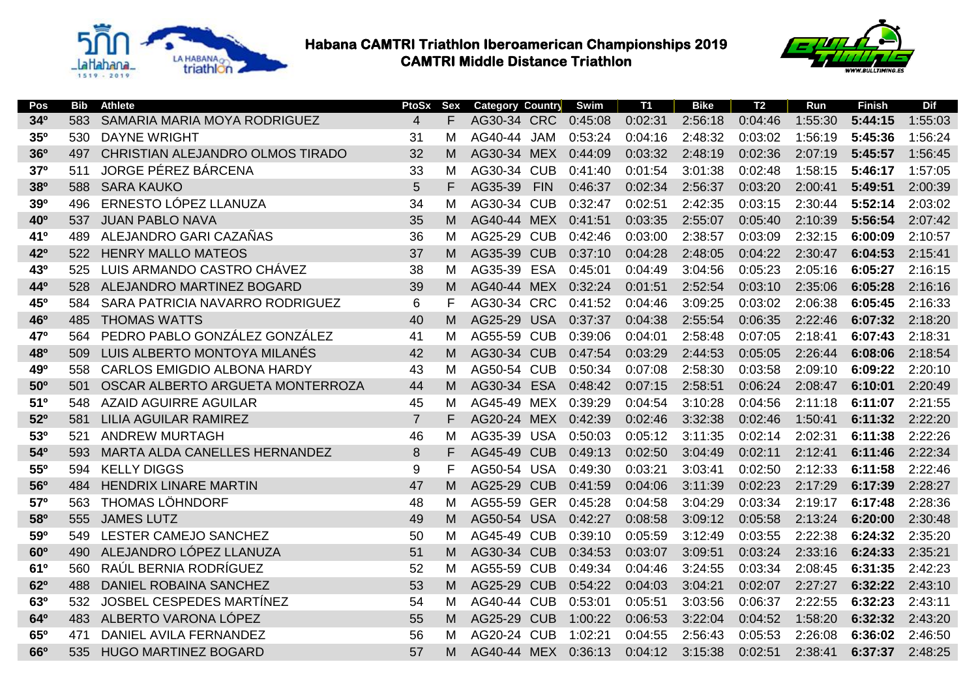



| Pos             | <b>Bib</b> | <b>Athlete</b>                     | PtoSx          | <b>Sex</b> | <b>Category Country</b> |            | Swim    | T1      | <b>Bike</b> | T2      | Run     | <b>Finish</b> | Dif     |
|-----------------|------------|------------------------------------|----------------|------------|-------------------------|------------|---------|---------|-------------|---------|---------|---------------|---------|
| 34°             | 583        | SAMARIA MARIA MOYA RODRIGUEZ       | $\overline{4}$ | F          | AG30-34 CRC             |            | 0:45:08 | 0:02:31 | 2:56:18     | 0:04:46 | 1:55:30 | 5:44:15       | 1:55:03 |
| <b>35°</b>      | 530        | <b>DAYNE WRIGHT</b>                | 31             | М          | AG40-44                 | <b>JAM</b> | 0:53:24 | 0:04:16 | 2:48:32     | 0:03:02 | 1:56:19 | 5:45:36       | 1:56:24 |
| 36°             | 497        | CHRISTIAN ALEJANDRO OLMOS TIRADO   | 32             | м          | AG30-34                 | <b>MEX</b> | 0:44:09 | 0:03:32 | 2:48:19     | 0:02:36 | 2:07:19 | 5:45:57       | 1:56:45 |
| 37 <sup>o</sup> | 511        | JORGE PÉREZ BÁRCENA                | 33             | М          | AG30-34                 | <b>CUB</b> | 0:41:40 | 0:01:54 | 3:01:38     | 0:02:48 | 1:58:15 | 5:46:17       | 1:57:05 |
| 380             | 588        | <b>SARA KAUKO</b>                  | 5              | F          | AG35-39                 | <b>FIN</b> | 0:46:37 | 0:02:34 | 2:56:37     | 0:03:20 | 2:00:41 | 5:49:51       | 2:00:39 |
| 390             | 496        | ERNESTO LÓPEZ LLANUZA              | 34             | М          | AG30-34                 | <b>CUB</b> | 0:32:47 | 0:02:51 | 2:42:35     | 0:03:15 | 2:30:44 | 5:52:14       | 2:03:02 |
| 40 <sup>o</sup> | 537        | <b>JUAN PABLO NAVA</b>             | 35             | м          | AG40-44                 | <b>MEX</b> | 0:41:51 | 0:03:35 | 2:55:07     | 0:05:40 | 2:10:39 | 5:56:54       | 2:07:42 |
| 41°             | 489        | ALEJANDRO GARI CAZAÑAS             | 36             | м          | AG25-29                 | <b>CUB</b> | 0:42:46 | 0:03:00 | 2:38:57     | 0:03:09 | 2:32:15 | 6:00:09       | 2:10:57 |
| 42°             | 522        | <b>HENRY MALLO MATEOS</b>          | 37             | M          | AG35-39                 | <b>CUB</b> | 0:37:10 | 0:04:28 | 2:48:05     | 0:04:22 | 2:30:47 | 6:04:53       | 2:15:41 |
| 43°             | 525        | LUIS ARMANDO CASTRO CHÁVEZ         | 38             | м          | AG35-39                 | <b>ESA</b> | 0:45:01 | 0:04:49 | 3:04:56     | 0:05:23 | 2:05:16 | 6:05:27       | 2:16:15 |
| 44°             | 528        | ALEJANDRO MARTINEZ BOGARD          | 39             | м          | AG40-44                 | <b>MEX</b> | 0:32:24 | 0:01:51 | 2:52:54     | 0:03:10 | 2:35:06 | 6:05:28       | 2:16:16 |
| 45°             | 584        | SARA PATRICIA NAVARRO RODRIGUEZ    | 6              | F          | AG30-34                 | <b>CRC</b> | 0:41:52 | 0:04:46 | 3:09:25     | 0:03:02 | 2:06:38 | 6:05:45       | 2:16:33 |
| 46°             | 485        | <b>THOMAS WATTS</b>                | 40             | м          | AG25-29                 | <b>USA</b> | 0:37:37 | 0:04:38 | 2:55:54     | 0:06:35 | 2:22:46 | 6:07:32       | 2:18:20 |
| 47°             | 564        | PEDRO PABLO GONZÁLEZ GONZÁLEZ      | 41             | М          | AG55-59                 | <b>CUB</b> | 0:39:06 | 0:04:01 | 2:58:48     | 0:07:05 | 2:18:41 | 6:07:43       | 2:18:31 |
| 480             | 509        | LUIS ALBERTO MONTOYA MILANÉS       | 42             | м          | AG30-34                 | <b>CUB</b> | 0:47:54 | 0:03:29 | 2:44:53     | 0:05:05 | 2:26:44 | 6:08:06       | 2:18:54 |
| 490             | 558        | <b>CARLOS EMIGDIO ALBONA HARDY</b> | 43             | М          | AG50-54                 | <b>CUB</b> | 0:50:34 | 0:07:08 | 2:58:30     | 0:03:58 | 2:09:10 | 6:09:22       | 2:20:10 |
| 50 <sup>o</sup> | 501        | OSCAR ALBERTO ARGUETA MONTERROZA   | 44             | м          | AG30-34                 | <b>ESA</b> | 0:48:42 | 0:07:15 | 2:58:51     | 0:06:24 | 2:08:47 | 6:10:01       | 2:20:49 |
| 51 <sup>0</sup> | 548        | <b>AZAID AGUIRRE AGUILAR</b>       | 45             | м          | AG45-49                 | MEX        | 0:39:29 | 0:04:54 | 3:10:28     | 0:04:56 | 2:11:18 | 6:11:07       | 2:21:55 |
| 52°             | 581        | <b>LILIA AGUILAR RAMIREZ</b>       | $\overline{7}$ | F          | AG20-24 MEX             |            | 0:42:39 | 0:02:46 | 3:32:38     | 0:02:46 | 1:50:41 | 6:11:32       | 2:22:20 |
| 530             | 521        | <b>ANDREW MURTAGH</b>              | 46             | м          | AG35-39                 | <b>USA</b> | 0:50:03 | 0:05:12 | 3:11:35     | 0:02:14 | 2:02:31 | 6:11:38       | 2:22:26 |
| 540             | 593        | MARTA ALDA CANELLES HERNANDEZ      | 8              | F          | AG45-49                 | <b>CUB</b> | 0:49:13 | 0:02:50 | 3:04:49     | 0:02:11 | 2:12:41 | 6:11:46       | 2:22:34 |
| 55°             | 594        | <b>KELLY DIGGS</b>                 | 9              | F          | AG50-54 USA             |            | 0:49:30 | 0:03:21 | 3:03:41     | 0:02:50 | 2:12:33 | 6:11:58       | 2:22:46 |
| <b>56°</b>      | 484        | <b>HENDRIX LINARE MARTIN</b>       | 47             | M          | AG25-29                 | <b>CUB</b> | 0:41:59 | 0:04:06 | 3:11:39     | 0:02:23 | 2:17:29 | 6:17:39       | 2:28:27 |
| 570             | 563        | <b>THOMAS LÖHNDORF</b>             | 48             | м          | AG55-59                 | <b>GER</b> | 0:45:28 | 0:04:58 | 3:04:29     | 0:03:34 | 2:19:17 | 6:17:48       | 2:28:36 |
| 580             | 555        | <b>JAMES LUTZ</b>                  | 49             | м          | AG50-54                 | <b>USA</b> | 0:42:27 | 0:08:58 | 3:09:12     | 0:05:58 | 2:13:24 | 6:20:00       | 2:30:48 |
| 590             | 549        | LESTER CAMEJO SANCHEZ              | 50             | М          | AG45-49                 | <b>CUB</b> | 0:39:10 | 0:05:59 | 3:12:49     | 0:03:55 | 2:22:38 | 6:24:32       | 2:35:20 |
| 60 <sup>o</sup> | 490        | ALEJANDRO LÓPEZ LLANUZA            | 51             | M          | AG30-34                 | <b>CUB</b> | 0:34:53 | 0:03:07 | 3:09:51     | 0:03:24 | 2:33:16 | 6:24:33       | 2:35:21 |
| 61º             | 560        | RAÚL BERNIA RODRÍGUEZ              | 52             | М          | AG55-59                 | <b>CUB</b> | 0:49:34 | 0:04:46 | 3:24:55     | 0:03:34 | 2:08:45 | 6:31:35       | 2:42:23 |
| 62º             | 488        | <b>DANIEL ROBAINA SANCHEZ</b>      | 53             | M          | AG25-29                 | <b>CUB</b> | 0:54:22 | 0:04:03 | 3:04:21     | 0:02:07 | 2:27:27 | 6:32:22       | 2:43:10 |
| 630             | 532        | JOSBEL CESPEDES MARTÍNEZ           | 54             | М          | AG40-44                 | <b>CUB</b> | 0:53:01 | 0:05:51 | 3:03:56     | 0:06:37 | 2:22:55 | 6:32:23       | 2:43:11 |
| 64 <sup>0</sup> | 483        | ALBERTO VARONA LÓPEZ               | 55             | м          | AG25-29                 | <b>CUB</b> | 1:00:22 | 0:06:53 | 3:22:04     | 0:04:52 | 1:58:20 | 6:32:32       | 2:43:20 |
| 65°             | 471        | DANIEL AVILA FERNANDEZ             | 56             | м          | AG20-24                 | <b>CUB</b> | 1:02:21 | 0:04:55 | 2:56:43     | 0:05:53 | 2:26:08 | 6:36:02       | 2:46:50 |
| <b>66°</b>      | 535        | <b>HUGO MARTINEZ BOGARD</b>        | 57             | М          | AG40-44 MEX             |            | 0:36:13 | 0:04:12 | 3:15:38     | 0:02:51 | 2:38:41 | 6:37:37       | 2:48:25 |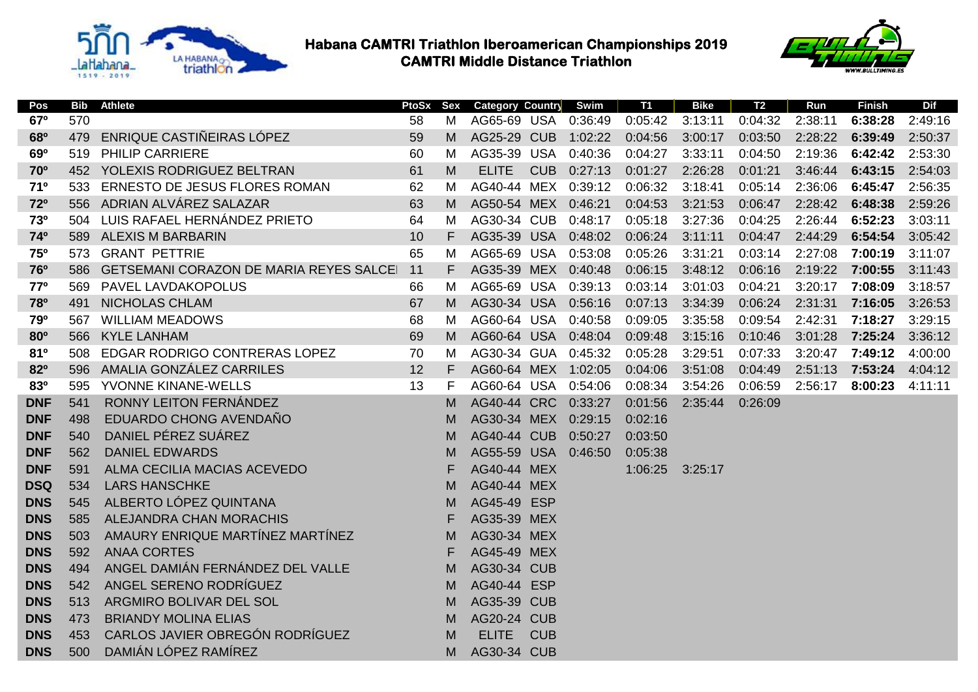



| Pos        | <b>Bib</b> | <b>Athlete</b>                                 | PtoSx | Sex | Category Country   |            | Swim    | <b>T1</b> | <b>Bike</b> | T2      | Run     | <b>Finish</b> | <b>Dif</b> |
|------------|------------|------------------------------------------------|-------|-----|--------------------|------------|---------|-----------|-------------|---------|---------|---------------|------------|
| 67°        | 570        |                                                | 58    | M   | AG65-69 USA        |            | 0:36:49 | 0:05:42   | 3:13:11     | 0:04:32 | 2:38:11 | 6:38:28       | 2:49:16    |
| 680        | 479        | ENRIQUE CASTIÑEIRAS LÓPEZ                      | 59    | M   | AG25-29 CUB        |            | 1:02:22 | 0:04:56   | 3:00:17     | 0:03:50 | 2:28:22 | 6:39:49       | 2:50:37    |
| 690        | 519        | <b>PHILIP CARRIERE</b>                         | 60    | м   | AG35-39            | <b>USA</b> | 0:40:36 | 0:04:27   | 3:33:11     | 0:04:50 | 2:19:36 | 6:42:42       | 2:53:30    |
| <b>70°</b> |            | 452 YOLEXIS RODRIGUEZ BELTRAN                  | 61    | M   | <b>ELITE</b>       | <b>CUB</b> | 0:27:13 | 0:01:27   | 2:26:28     | 0:01:21 | 3:46:44 | 6:43:15       | 2:54:03    |
| 710        | 533        | ERNESTO DE JESUS FLORES ROMAN                  | 62    | M   | AG40-44 MEX        |            | 0:39:12 | 0:06:32   | 3:18:41     | 0:05:14 | 2:36:06 | 6:45:47       | 2:56:35    |
| 72°        | 556        | ADRIAN ALVÁREZ SALAZAR                         | 63    | M   | AG50-54 MEX        |            | 0:46:21 | 0:04:53   | 3:21:53     | 0:06:47 | 2:28:42 | 6:48:38       | 2:59:26    |
| 730        |            | 504 LUIS RAFAEL HERNÁNDEZ PRIETO               | 64    | M   | AG30-34 CUB        |            | 0:48:17 | 0:05:18   | 3:27:36     | 0:04:25 | 2:26:44 | 6:52:23       | 3:03:11    |
| 74°        |            | 589 ALEXIS M BARBARIN                          | 10    | F   | AG35-39 USA        |            | 0:48:02 | 0:06:24   | 3:11:11     | 0:04:47 | 2:44:29 | 6:54:54       | 3:05:42    |
| <b>75°</b> | 573        | <b>GRANT PETTRIE</b>                           | 65    | M   | AG65-69 USA        |            | 0:53:08 | 0:05:26   | 3:31:21     | 0:03:14 | 2:27:08 | 7:00:19       | 3:11:07    |
| <b>76°</b> | 586        | <b>GETSEMANI CORAZON DE MARIA REYES SALCEI</b> | 11    | F   | AG35-39            | <b>MEX</b> | 0:40:48 | 0:06:15   | 3:48:12     | 0:06:16 | 2:19:22 | 7:00:55       | 3:11:43    |
| 770        | 569        | <b>PAVEL LAVDAKOPOLUS</b>                      | 66    | M   | AG65-69 USA        |            | 0:39:13 | 0:03:14   | 3:01:03     | 0:04:21 | 3:20:17 | 7:08:09       | 3:18:57    |
| 780        | 491        | NICHOLAS CHLAM                                 | 67    | M   | AG30-34 USA        |            | 0:56:16 | 0:07:13   | 3:34:39     | 0:06:24 | 2:31:31 | 7:16:05       | 3:26:53    |
| 790        | 567        | <b>WILLIAM MEADOWS</b>                         | 68    | м   | AG60-64 USA        |            | 0:40:58 | 0:09:05   | 3:35:58     | 0:09:54 | 2:42:31 | 7:18:27       | 3:29:15    |
| <b>80°</b> | 566        | <b>KYLE LANHAM</b>                             | 69    | M   | AG60-64 USA        |            | 0:48:04 | 0:09:48   | 3:15:16     | 0:10:46 | 3:01:28 | 7:25:24       | 3:36:12    |
| 810        | 508        | EDGAR RODRIGO CONTRERAS LOPEZ                  | 70    | M   | AG30-34 GUA        |            | 0:45:32 | 0:05:28   | 3:29:51     | 0:07:33 | 3:20:47 | 7:49:12       | 4:00:00    |
| 82°        | 596        | AMALIA GONZÁLEZ CARRILES                       | 12    | F   | AG60-64 MEX        |            | 1:02:05 | 0:04:06   | 3:51:08     | 0:04:49 | 2:51:13 | 7:53:24       | 4:04:12    |
| 830        | 595        | YVONNE KINANE-WELLS                            | 13    | F   | AG60-64 USA        |            | 0:54:06 | 0:08:34   | 3:54:26     | 0:06:59 | 2:56:17 | 8:00:23       | 4:11:11    |
| <b>DNF</b> | 541        | RONNY LEITON FERNÁNDEZ                         |       | M   | AG40-44 CRC        |            | 0:33:27 | 0:01:56   | 2:35:44     | 0:26:09 |         |               |            |
| <b>DNF</b> | 498        | EDUARDO CHONG AVENDAÑO                         |       | M   | AG30-34 MEX        |            | 0:29:15 | 0:02:16   |             |         |         |               |            |
| <b>DNF</b> | 540        | DANIEL PÉREZ SUÁREZ                            |       | М   | <b>AG40-44 CUB</b> |            | 0:50:27 | 0:03:50   |             |         |         |               |            |
| <b>DNF</b> | 562        | <b>DANIEL EDWARDS</b>                          |       | M   | AG55-59 USA        |            | 0:46:50 | 0:05:38   |             |         |         |               |            |
| <b>DNF</b> | 591        | ALMA CECILIA MACIAS ACEVEDO                    |       | F   | AG40-44 MEX        |            |         | 1:06:25   | 3:25:17     |         |         |               |            |
| <b>DSQ</b> | 534        | <b>LARS HANSCHKE</b>                           |       | M   | AG40-44 MEX        |            |         |           |             |         |         |               |            |
| <b>DNS</b> | 545        | ALBERTO LÓPEZ QUINTANA                         |       | M   | AG45-49 ESP        |            |         |           |             |         |         |               |            |
| <b>DNS</b> | 585        | ALEJANDRA CHAN MORACHIS                        |       | F   | AG35-39 MEX        |            |         |           |             |         |         |               |            |
| <b>DNS</b> | 503        | AMAURY ENRIQUE MARTÍNEZ MARTÍNEZ               |       | М   | AG30-34 MEX        |            |         |           |             |         |         |               |            |
| <b>DNS</b> | 592        | <b>ANAA CORTES</b>                             |       | F   | AG45-49 MEX        |            |         |           |             |         |         |               |            |
| <b>DNS</b> | 494        | ANGEL DAMIÁN FERNÁNDEZ DEL VALLE               |       | M   | AG30-34 CUB        |            |         |           |             |         |         |               |            |
| <b>DNS</b> | 542        | ANGEL SERENO RODRÍGUEZ                         |       | M   | AG40-44 ESP        |            |         |           |             |         |         |               |            |
| <b>DNS</b> | 513        | ARGMIRO BOLIVAR DEL SOL                        |       | M   | AG35-39 CUB        |            |         |           |             |         |         |               |            |
| <b>DNS</b> | 473        | <b>BRIANDY MOLINA ELIAS</b>                    |       | M   | <b>AG20-24 CUB</b> |            |         |           |             |         |         |               |            |
| <b>DNS</b> | 453        | CARLOS JAVIER OBREGÓN RODRÍGUEZ                |       | M   | <b>ELITE</b>       | <b>CUB</b> |         |           |             |         |         |               |            |
| <b>DNS</b> | 500        | DAMIÁN LÓPEZ RAMÍREZ                           |       | M   | AG30-34 CUB        |            |         |           |             |         |         |               |            |